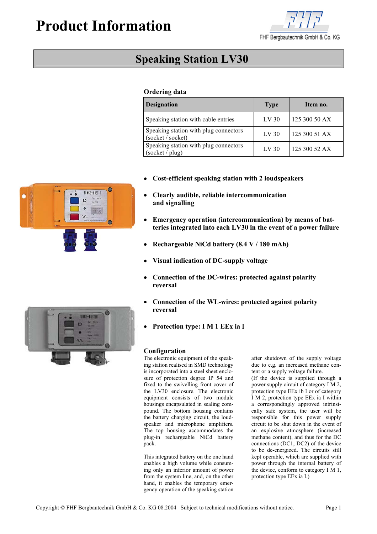# **Product Information**



## **Speaking Station LV30**

### **Ordering data**

| <b>Designation</b>                                         | <b>Type</b>      | Item no.      |
|------------------------------------------------------------|------------------|---------------|
| Speaking station with cable entries                        | LV <sub>30</sub> | 125 300 50 AX |
| Speaking station with plug connectors<br>(socket / socket) | LV <sub>30</sub> | 125 300 51 AX |
| Speaking station with plug connectors<br>(sockets / plug)  | LV <sub>30</sub> | 125 300 52 AX |

- **Cost-efficient speaking station with 2 loudspeakers**
- **Clearly audible, reliable intercommunication and signalling**
- **Emergency operation (intercommunication) by means of batteries integrated into each LV30 in the event of a power failure**
- • **Rechargeable NiCd battery (8.4 V / 180 mAh)**
- **Visual indication of DC-supply voltage**
- **Connection of the DC-wires: protected against polarity reversal**
- **Connection of the WL-wires: protected against polarity reversal**
- **Protection type: I M 1 EEx ia** Ι

#### **Configuration**

The electronic equipment of the speaking station realised in SMD technology is incorporated into a steel sheet enclosure of protection degree IP 54 and fixed to the swivelling front cover of the LV30 enclosure. The electronic equipment consists of two module housings encapsulated in sealing compound. The bottom housing contains the battery charging circuit, the loudspeaker and microphone amplifiers. The top housing accommodates the plug-in rechargeable NiCd battery pack.

This integrated battery on the one hand enables a high volume while consuming only an inferior amount of power from the system line, and, on the other hand, it enables the temporary emergency operation of the speaking station after shutdown of the supply voltage due to e.g. an increased methane content or a supply voltage failure.

(If the device is supplied through a power supply circuit of category I M 2, protection type EEx ib I or of category I M 2, protection type EEx ia I within a correspondingly approved intrinsically safe system, the user will be responsible for this power supply circuit to be shut down in the event of an explosive atmosphere (increased methane content), and thus for the DC connections (DC1, DC2) of the device to be de-energized. The circuits still kept operable, which are supplied with power through the internal battery of the device, conform to category I M 1, protection type EEx ia I.)